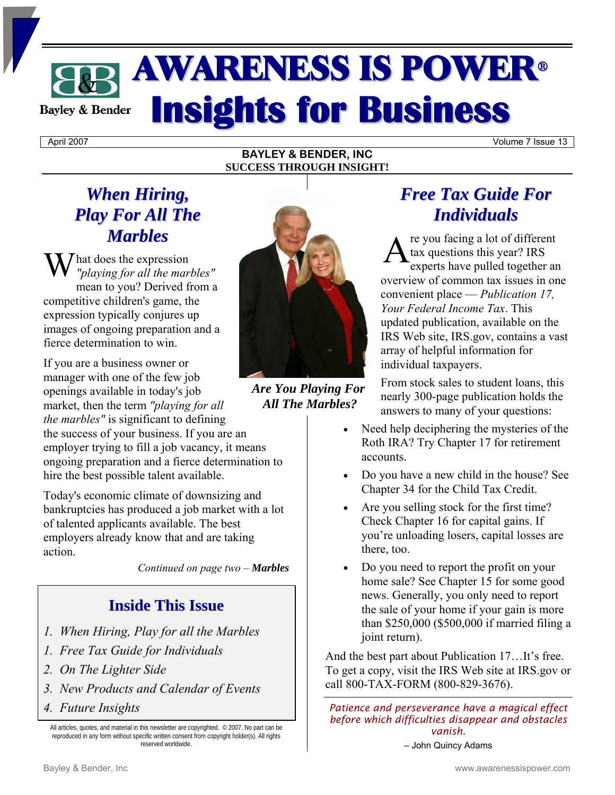# AWARENESS IS POWER<sup>ü</sup> **Insights for Business Bayley & Bender**

**BAYLEY & BENDER, INC SUCCESS THROUGH INSIGHT!** 

April 2007 Volume 7 Issue 13

# *When Hiring, Play For All The Marbles*

hat does the expression *"playing for all the marbles"* mean to you? Derived from a competitive children's game, the expression typically conjures up images of ongoing preparation and a fierce determination to win.

If you are a business owner or manager with one of the few job openings available in today's job market, then the term *"playing for all the marbles"* is significant to defining the success of your business. If you are an employer trying to fill a job vacancy, it means

ongoing preparation and a fierce determination to hire the best possible talent available.

Today's economic climate of downsizing and bankruptcies has produced a job market with a lot of talented applicants available. The best employers already know that and are taking action.

*Continued on page two – Marbles*

# **Inside This Issue**

- *1. When Hiring, Play for all the Marbles*
- *1. Free Tax Guide for Individuals*
- *2. On The Lighter Side*
- *3. New Products and Calendar of Events*
- *4. Future Insights*

All articles, quotes, and material in this newsletter are copyrighted. © 2007. No part can be reproduced in any form without specific written consent from copyright holder(s). All rights reserved worldwide.



*Are You Playing For All The Marbles?* 

# *Free Tax Guide For Individuals*

re you facing a lot of different tax questions this year? IRS experts have pulled together an overview of common tax issues in one convenient place — *Publication 17, Your Federal Income Tax*. This updated publication, available on the IRS Web site, IRS.gov, contains a vast array of helpful information for individual taxpayers.

From stock sales to student loans, this nearly 300-page publication holds the answers to many of your questions:

- Need help deciphering the mysteries of the Roth IRA? Try Chapter 17 for retirement accounts.
- Do you have a new child in the house? See Chapter 34 for the Child Tax Credit.
- Are you selling stock for the first time? Check Chapter 16 for capital gains. If you're unloading losers, capital losses are there, too.
- Do you need to report the profit on your home sale? See Chapter 15 for some good news. Generally, you only need to report the sale of your home if your gain is more than \$250,000 (\$500,000 if married filing a joint return).

And the best part about Publication 17…It's free. To get a copy, visit the IRS Web site at IRS.gov or call 800-TAX-FORM (800-829-3676).

*Patience and perseverance have a magical effect before which difficulties disappear and obstacles vanish.* 

– John Quincy Adams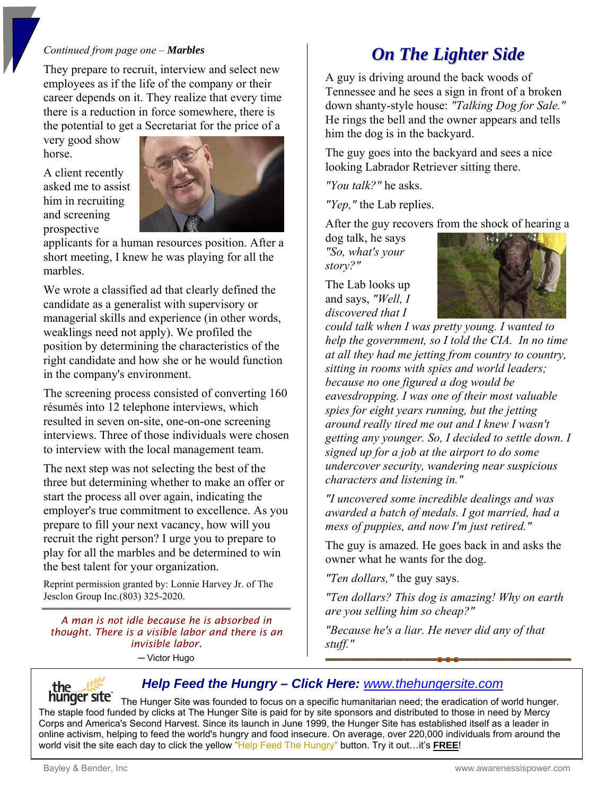### *Continued from page one – Marbles*

They prepare to recruit, interview and select new employees as if the life of the company or their career depends on it. They realize that every time there is a reduction in force somewhere, there is the potential to get a Secretariat for the price of a

very good show horse.

A client recently asked me to assist him in recruiting and screening prospective



applicants for a human resources position. After a short meeting, I knew he was playing for all the marbles.

We wrote a classified ad that clearly defined the candidate as a generalist with supervisory or managerial skills and experience (in other words, weaklings need not apply). We profiled the position by determining the characteristics of the right candidate and how she or he would function in the company's environment.

The screening process consisted of converting 160 résumés into 12 telephone interviews, which resulted in seven on-site, one-on-one screening interviews. Three of those individuals were chosen to interview with the local management team.

The next step was not selecting the best of the three but determining whether to make an offer or start the process all over again, indicating the employer's true commitment to excellence. As you prepare to fill your next vacancy, how will you recruit the right person? I urge you to prepare to play for all the marbles and be determined to win the best talent for your organization.

Reprint permission granted by: Lonnie Harvey Jr. of The Jesclon Group Inc.(803) 325-2020.

*A man is not idle because he is absorbed in thought. There is a visible labor and there is an invisible labor.*  ─ Victor Hugo

# *On The Lighter Side*

A guy is driving around the back woods of Tennessee and he sees a sign in front of a broken down shanty-style house: *"Talking Dog for Sale."* He rings the bell and the owner appears and tells him the dog is in the backyard.

The guy goes into the backyard and sees a nice looking Labrador Retriever sitting there.

*"You talk?"* he asks.

*"Yep,"* the Lab replies.

After the guy recovers from the shock of hearing a

dog talk, he says *"So, what's your story?"* 

The Lab looks up and says, *"Well, I discovered that I* 



*could talk when I was pretty young. I wanted to help the government, so I told the CIA. In no time at all they had me jetting from country to country, sitting in rooms with spies and world leaders; because no one figured a dog would be eavesdropping. I was one of their most valuable spies for eight years running, but the jetting around really tired me out and I knew I wasn't getting any younger. So, I decided to settle down. I signed up for a job at the airport to do some undercover security, wandering near suspicious characters and listening in."* 

*"I uncovered some incredible dealings and was awarded a batch of medals. I got married, had a mess of puppies, and now I'm just retired."* 

The guy is amazed. He goes back in and asks the owner what he wants for the dog.

*"Ten dollars,"* the guy says.

*"Ten dollars? This dog is amazing! Why on earth are you selling him so cheap?"* 

*"Because he's a liar. He never did any of that stuff."*



 *Help Feed the Hungry – Click Here: <www.thehungersite.com>*

**hunger site** The Hunger Site was founded to focus on a specific humanitarian need; the eradication of world hunger. The staple food funded by clicks at The Hunger Site is paid for by site sponsors and distributed to those in need by Mercy Corps and America's Second Harvest. Since its launch in June 1999, the Hunger Site has established itself as a leader in online activism, helping to feed the world's hungry and food insecure. On average, over 220,000 individuals from around the world visit the site each day to click the yellow "Help Feed The Hungry" button. Try it out…it's **FREE**!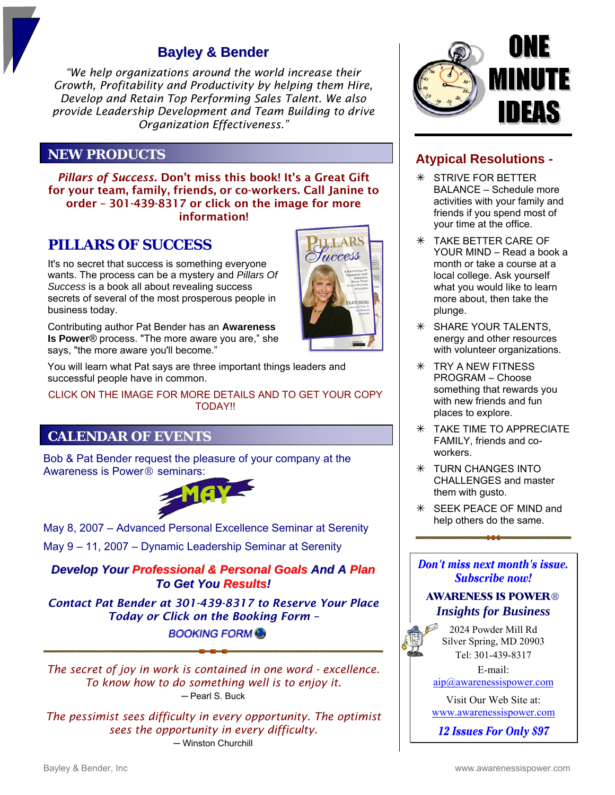## **Bayley & Bender**

*"We help organizations around the world increase their Growth, Profitability and Productivity by helping them Hire, Develop and Retain Top Performing Sales Talent. We also provide Leadership Development and Team Building to drive Organization Effectiveness."* 

### **NEW PRODUCTS**

*Pillars of Success.* Don't miss this book! It's a Great Gift for your team, family, friends, or co-workers. Call Janine to order – 301-439-8317 or click on the image for more information!

### **PILLARS OF SUCCESS**

It's no secret that success is something everyone wants. The process can be a mystery and *Pillars Of Success* is a book all about revealing success secrets of several of the most prosperous people in business today.



You will learn what Pat says are three important things leaders and successful people have in common.

CLICK ON THE IMAGE FOR MORE DETAILS AND TO GET YOUR COPY **TODAY!!** 

### **CALENDAR OF EVENTS**

Bob & Pat Bender request the pleasure of your company at the



May 8, 2007 – Advanced Personal Excellence Seminar at Serenity

May 9 – 11, 2007 – Dynamic Leadership Seminar at Serenity

### *Develop Your Professional & Personal Goals And A Plan To Get You Results!*

*Contact Pat Bender at 301-439-8317 to Reserve Your Place Today or Click on the Booking Form –* 

**BOOKINGFORM** 

*The secret of joy in work is contained in one word - excellence. To know how to do something well is to enjoy it.*  ─ Pearl S. Buck

*The pessimist sees difficulty in every opportunity. The optimist sees the opportunity in every difficulty.*  ─ Winston Churchill



### **Atypical Resolutions -**

- $*$  STRIVE FOR BETTER BALANCE – Schedule more activities with your family and friends if you spend most of your time at the office.
- $*$  TAKE BETTER CARE OF YOUR MIND – Read a book a month or take a course at a local college. Ask yourself what you would like to learn more about, then take the plunge.
- $*$  SHARE YOUR TALENTS, energy and other resources with volunteer organizations.
- $*$  TRY A NEW FITNESS PROGRAM – Choose something that rewards you with new friends and fun places to explore.
- $*$  TAKE TIME TO APPRECIATE FAMILY, friends and coworkers.
- $*$  TURN CHANGES INTO CHALLENGES and master them with gusto.
- $*$  **SEEK PEACE OF MIND and** help others do the same.

Don't miss next month's issue. **Subscribe now!** 

#### **AWARENESS IS POWER®** *Insights for Business*

2024 Powder Mill Rd Silver Spring, MD 20903 Tel: 301-439-8317

E-mail: [aip@awarenessispower.com](mailto: aip@awarenessispower.com) 

Visit Our Web Site at: <www.awarenessispower.com>

**12 Issues For Only \$97**